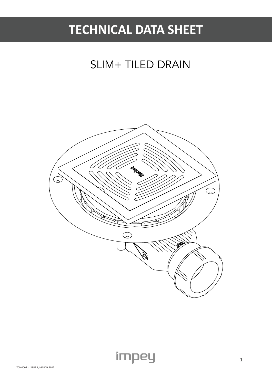# **TECHNICAL DATA SHEET**

## SLIM+ TILED DRAIN

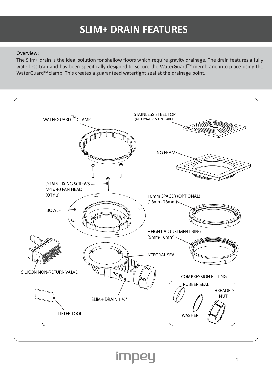### **SLIM+ DRAIN FEATURES**

#### Overview:

The Slim+ drain is the ideal solution for shallow floors which require gravity drainage. The drain features a fully waterless trap and has been specifically designed to secure the WaterGuard™ membrane into place using the WaterGuard<sup>™</sup> clamp. This creates a guaranteed watertight seal at the drainage point.

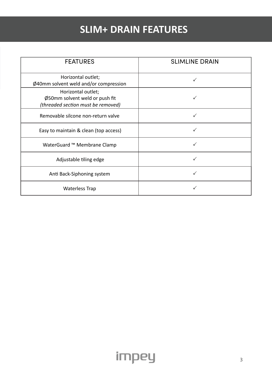### **SLIM+ DRAIN FEATURES**

| <b>FEATURES</b>                                                                            | <b>SLIMLINE DRAIN</b> |
|--------------------------------------------------------------------------------------------|-----------------------|
| Horizontal outlet;<br>Ø40mm solvent weld and/or compression                                | ✓                     |
| Horizontal outlet;<br>Ø50mm solvent weld or push fit<br>(threaded section must be removed) |                       |
| Removable silcone non-return valve                                                         | ✓                     |
| Easy to maintain & clean (top access)                                                      |                       |
| WaterGuard ™ Membrane Clamp                                                                |                       |
| Adjustable tiling edge                                                                     |                       |
| Anti Back-Siphoning system                                                                 |                       |
| <b>Waterless Trap</b>                                                                      |                       |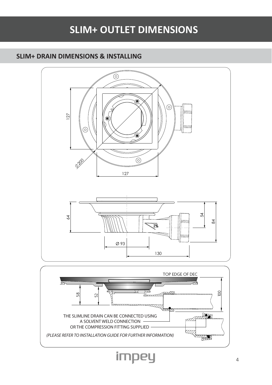### **SLIM+ OUTLET DIMENSIONS**

#### **SLIM+ DRAIN DIMENSIONS & INSTALLING**



impey

4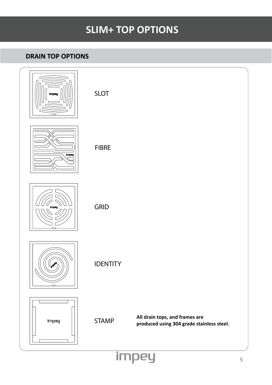### **SLIM+ TOP OPTIONS**

#### **DRAIN TOP OPTIONS**

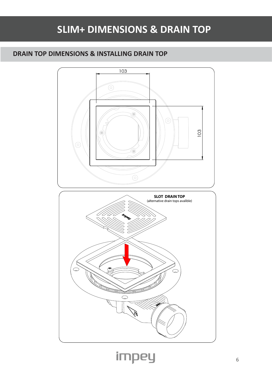### **SLIM+ DIMENSIONS & DRAIN TOP**

### **DRAIN TOP DIMENSIONS & INSTALLING DRAIN TOP**

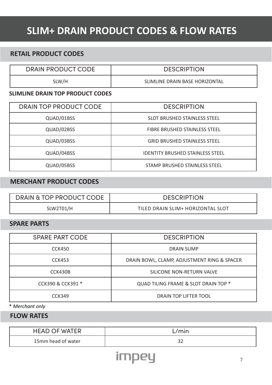### **SLIM+ DRAIN PRODUCT CODES & FLOW RATES**

#### **RETAIL PRODUCT CODES**

DRAIN PRODUCT CODE | DESCRIPTION

SLW/H SLW SLIMLINE DRAIN BASE HORIZONTAL

#### **SLIMLINE DRAIN TOP PRODUCT CODES**

| DRAIN TOP PRODUCT CODE | <b>DESCRIPTION</b>                      |
|------------------------|-----------------------------------------|
| QUAD/01BSS             | <b>SLOT BRUSHED STAINLESS STEEL</b>     |
| QUAD/02BSS             | FIBRE BRUSHED STAINLESS STEEL           |
| QUAD/03BSS             | <b>GRID BRUSHED STAINLESS STEEL</b>     |
| QUAD/04BSS             | <b>IDENTITY BRUSHED STAINLESS STEEL</b> |
| QUAD/05BSS             | STAMP BRUSHED STAINLESS STEEL           |

#### **MERCHANT PRODUCT CODES**

| DRAIN & TOP PRODUCT CODE | <b>DESCRIPTION</b>                |
|--------------------------|-----------------------------------|
| SLW2T01/H                | TILED DRAIN SLIM+ HORIZONTAL SLOT |

#### **SPARE PARTS**

| <b>SPARE PART CODE</b> | <b>DESCRIPTION</b>                          |
|------------------------|---------------------------------------------|
| <b>CCK450</b>          | <b>DRAIN SUMP</b>                           |
| CCK453                 | DRAIN BOWL, CLAMP, ADJUSTMENT RING & SPACER |
| CCK430B                | SILICONE NON-RETURN VALVE                   |
| CCK390 & CCK391 *      | QUAD TILING FRAME & SLOT DRAIN TOP *        |
| <b>CCK349</b>          | DRAIN TOP LIFTER TOOL                       |

\* *Merchant only*

**FLOW RATES**

| <b>HEAD OF WATER</b> | 'mın |
|----------------------|------|
| 15mm head of water   | ے ب  |